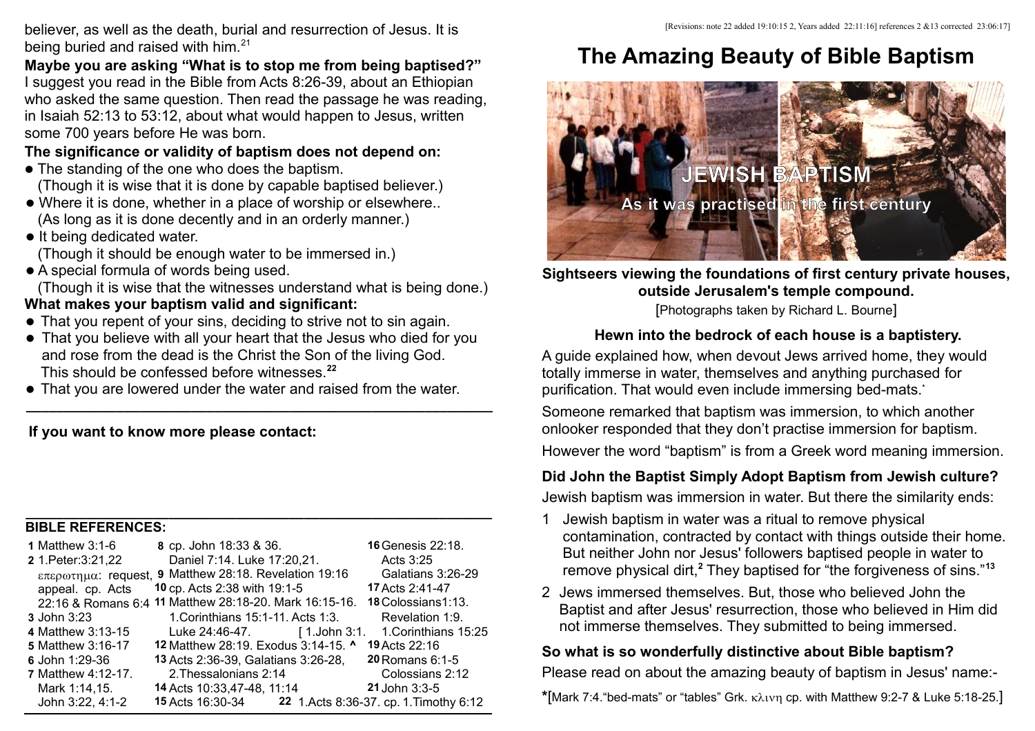believer, as well as the death, burial and resurrection of Jesus. It is being buried and raised with him.<sup>21</sup>

**Maybe you are asking "What is to stop me from being baptised?"** I suggest you read in the Bible from Acts 8:26-39, about an Ethiopian who asked the same question. Then read the passage he was reading, in Isaiah 52:13 to 53:12, about what would happen to Jesus, written some 700 years before He was born.

### **The significance or validity of baptism does not depend on:**

- The standing of the one who does the baptism. (Though it is wise that it is done by capable baptised believer.)
- Where it is done, whether in a place of worship or elsewhere.. (As long as it is done decently and in an orderly manner.)
- $\bullet$  It being dedicated water.
	- (Though it should be enough water to be immersed in.)
- A special formula of words being used.

(Though it is wise that the witnesses understand what is being done.) **What makes your baptism valid and significant:**

- That you repent of your sins, deciding to strive not to sin again.
- That you believe with all your heart that the Jesus who died for you and rose from the dead is the Christ the Son of the living God. This should be confessed before witnesses.**<sup>22</sup>**

**\_\_\_\_\_\_\_\_\_\_\_\_\_\_\_\_\_\_\_\_\_\_\_\_\_\_\_\_\_\_\_\_\_\_\_\_\_\_\_\_\_\_\_\_\_\_\_\_\_\_\_\_\_\_\_\_\_\_\_\_\_\_**

• That you are lowered under the water and raised from the water.

 **If you want to know more please contact:** 

#### **\_\_\_\_\_\_\_\_\_\_\_\_\_\_\_\_\_\_\_\_\_\_\_\_\_\_\_\_\_\_\_\_\_\_\_\_\_\_\_\_\_\_\_\_\_\_\_\_\_\_\_\_\_\_\_\_\_\_\_\_\_\_ BIBLE REFERENCES:**

| 1 Matthew 3:1-6      | 8 cp. John 18:33 & 36.                                 | <b>16 Genesis 22:18.</b>                |
|----------------------|--------------------------------------------------------|-----------------------------------------|
| 2 1. Peter: 3:21, 22 | Daniel 7:14. Luke 17:20,21.                            | Acts 3:25                               |
|                      | επερωτημα: request, 9 Matthew 28:18. Revelation 19:16  | Galatians 3:26-29                       |
| appeal. cp. Acts     | 10 cp. Acts 2:38 with 19:1-5                           | 17 Acts 2:41-47                         |
|                      | 22:16 & Romans 6:4 11 Matthew 28:18-20. Mark 16:15-16. | 18 Colossians 1:13.                     |
| <b>3 John 3:23</b>   | 1. Corinthians 15:1-11. Acts 1:3.                      | Revelation 1:9.                         |
| 4 Matthew 3:13-15    | Luke 24:46-47. [1.John 3:1.]                           | 1.Corinthians 15:25                     |
| 5 Matthew 3:16-17    | 12 Matthew 28:19. Exodus 3:14-15. ^                    | <b>19 Acts 22:16</b>                    |
| 6 John 1:29-36       | 13 Acts 2:36-39, Galatians 3:26-28,                    | 20 Romans 6:1-5                         |
| 7 Matthew 4:12-17.   | 2. Thessalonians 2:14                                  | Colossians 2:12                         |
| Mark 1:14,15.        | 14 Acts 10:33,47-48, 11:14                             | 21 John 3:3-5                           |
| John 3:22, 4:1-2     | <b>15 Acts 16:30-34</b>                                | 22 1. Acts 8:36-37. cp. 1. Timothy 6:12 |

# **The Amazing Beauty of Bible Baptism**



**Sightseers viewing the foundations of first century private houses, outside Jerusalem's temple compound.**

[Photographs taken by Richard L. Bourne]

# **Hewn into the bedrock of each house is a baptistery.**

A guide explained how, when devout Jews arrived home, they would totally immerse in water, themselves and anything purchased for purification. That would even include immersing bed-mats.**\***

Someone remarked that baptism was immersion, to which another onlooker responded that they don't practise immersion for baptism.

However the word "baptism" is from a Greek word meaning immersion.

#### **Did John the Baptist Simply Adopt Baptism from Jewish culture?**

Jewish baptism was immersion in water. But there the similarity ends:

- 1 Jewish baptism in water was a ritual to remove physical contamination, contracted by contact with things outside their home. But neither John nor Jesus' followers baptised people in water to remove physical dirt,**<sup>2</sup>** They baptised for "the forgiveness of sins."**<sup>13</sup>**
- 2 Jews immersed themselves. But, those who believed John the Baptist and after Jesus' resurrection, those who believed in Him did not immerse themselves. They submitted to being immersed.

#### **So what is so wonderfully distinctive about Bible baptism?**

Please read on about the amazing beauty of baptism in Jesus' name:-

\*[Mark 7:4. "bed-mats" or "tables" Grk. κλινη cp. with Matthew 9:2-7 & Luke 5:18-25.]